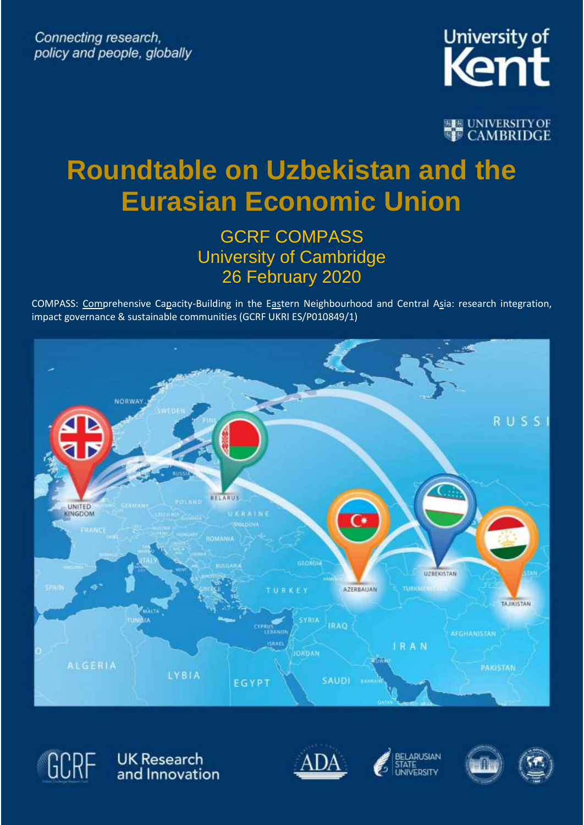

**BEEN UNIVERSITY OF CAMBRIDGE** 

# **Roundtable on Uzbekistan and the Eurasian Economic Union**

### GCRF COMPASS University of Cambridge 26 February 2020

COMPASS: Comprehensive Capacity-Building in the Eastern Neighbourhood and Central Asia: research integration, impact governance & sustainable communities (GCRF UKRI ES/P010849/1)





UK Research<br>and Innovation







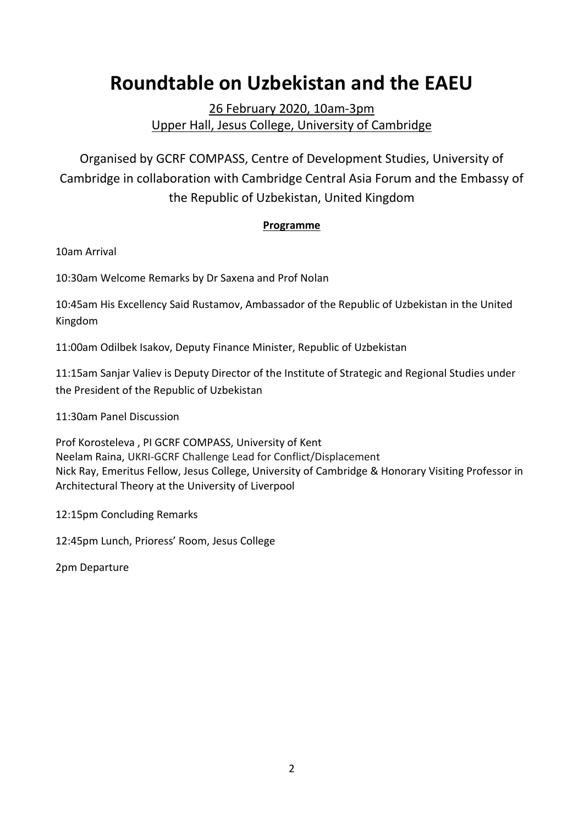## **Roundtable on Uzbekistan and the EAEU**

26 February 2020, 10am-3pm Upper Hall, Jesus College, University of Cambridge

Organised by GCRF COMPASS, Centre of Development Studies, University of Cambridge in collaboration with Cambridge Central Asia Forum and the Embassy of the Republic of Uzbekistan, United Kingdom

#### **Programme**

10am Arrival

10:30am Welcome Remarks by Dr Saxena and Prof Nolan

10:45am His Excellency Said Rustamov, Ambassador of the Republic of Uzbekistan in the United Kingdom

11:00am Odilbek Isakov, Deputy Finance Minister, Republic of Uzbekistan

11:15am Sanjar Valiev is Deputy Director of the Institute of Strategic and Regional Studies under the President of the Republic of Uzbekistan

11:30am Panel Discussion

Prof Korosteleva , PI GCRF COMPASS, University of Kent Neelam Raina, UKRI-GCRF Challenge Lead for Conflict/Displacement Nick Ray, Emeritus Fellow, Jesus College, University of Cambridge & Honorary Visiting Professor in Architectural Theory at the University of Liverpool

12:15pm Concluding Remarks

12:45pm Lunch, Prioress' Room, Jesus College

2pm Departure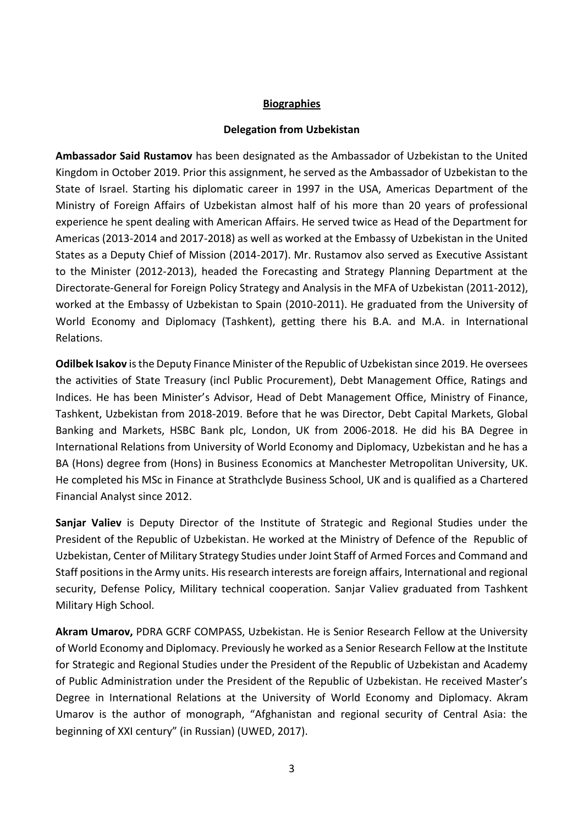#### **Biographies**

#### **Delegation from Uzbekistan**

**Ambassador Said Rustamov** has been designated as the Ambassador of Uzbekistan to the United Kingdom in October 2019. Prior this assignment, he served as the Ambassador of Uzbekistan to the State of Israel. Starting his diplomatic career in 1997 in the USA, Americas Department of the Ministry of Foreign Affairs of Uzbekistan almost half of his more than 20 years of professional experience he spent dealing with American Affairs. He served twice as Head of the Department for Americas (2013-2014 and 2017-2018) as well as worked at the Embassy of Uzbekistan in the United States as a Deputy Chief of Mission (2014-2017). Mr. Rustamov also served as Executive Assistant to the Minister (2012-2013), headed the Forecasting and Strategy Planning Department at the Directorate-General for Foreign Policy Strategy and Analysis in the MFA of Uzbekistan (2011-2012), worked at the Embassy of Uzbekistan to Spain (2010-2011). He graduated from the University of World Economy and Diplomacy (Tashkent), getting there his B.A. and M.A. in International Relations.

**Odilbek Isakov** is the Deputy Finance Minister of the Republic of Uzbekistan since 2019. He oversees the activities of State Treasury (incl Public Procurement), Debt Management Office, Ratings and Indices. He has been Minister's Advisor, Head of Debt Management Office, Ministry of Finance, Tashkent, Uzbekistan from 2018-2019. Before that he was Director, Debt Capital Markets, Global Banking and Markets, HSBC Bank plc, London, UK from 2006-2018. He did his BA Degree in International Relations from University of World Economy and Diplomacy, Uzbekistan and he has a BA (Hons) degree from (Hons) in Business Economics at Manchester Metropolitan University, UK. He completed his MSc in Finance at Strathclyde Business School, UK and is qualified as a Chartered Financial Analyst since 2012.

**Sanjar Valiev** is Deputy Director of the Institute of Strategic and Regional Studies under the President of the Republic of Uzbekistan. He worked at the Ministry of Defence of the Republic of Uzbekistan, Center of Military Strategy Studies under Joint Staff of Armed Forces and Command and Staff positions in the Army units. His research interests are foreign affairs, International and regional security, Defense Policy, Military technical cooperation. Sanjar Valiev graduated from Tashkent Military High School.

**Akram Umarov,** PDRA GCRF COMPASS, Uzbekistan. He is Senior Research Fellow at the University of World Economy and Diplomacy. Previously he worked as a Senior Research Fellow at the Institute for Strategic and Regional Studies under the President of the Republic of Uzbekistan and Academy of Public Administration under the President of the Republic of Uzbekistan. He received Master's Degree in International Relations at the University of World Economy and Diplomacy. Akram Umarov is the author of monograph, "Afghanistan and regional security of Central Asia: the beginning of XXI century" (in Russian) (UWED, 2017).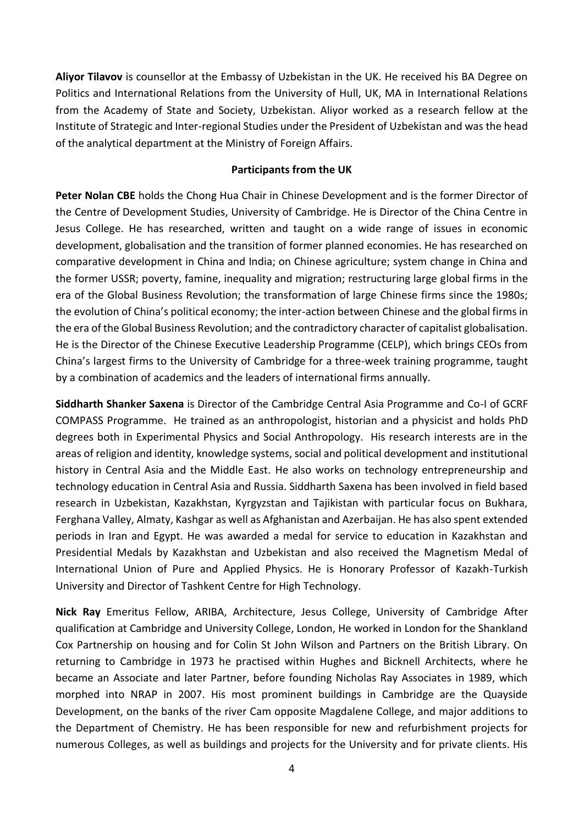**Aliyor Tilavov** is counsellor at the Embassy of Uzbekistan in the UK. He received his BA Degree on Politics and International Relations from the University of Hull, UK, MA in International Relations from the Academy of State and Society, Uzbekistan. Aliyor worked as a research fellow at the Institute of Strategic and Inter-regional Studies under the President of Uzbekistan and was the head of the analytical department at the Ministry of Foreign Affairs.

#### **Participants from the UK**

**Peter Nolan CBE** holds the Chong Hua Chair in Chinese Development and is the former Director of the Centre of Development Studies, University of Cambridge. He is Director of the China Centre in Jesus College. He has researched, written and taught on a wide range of issues in economic development, globalisation and the transition of former planned economies. He has researched on comparative development in China and India; on Chinese agriculture; system change in China and the former USSR; poverty, famine, inequality and migration; restructuring large global firms in the era of the Global Business Revolution; the transformation of large Chinese firms since the 1980s; the evolution of China's political economy; the inter-action between Chinese and the global firms in the era of the Global Business Revolution; and the contradictory character of capitalist globalisation. He is the Director of the Chinese Executive Leadership Programme (CELP), which brings CEOs from China's largest firms to the University of Cambridge for a three-week training programme, taught by a combination of academics and the leaders of international firms annually.

**Siddharth Shanker Saxena** is Director of the Cambridge Central Asia Programme and Co-I of GCRF COMPASS Programme. He trained as an anthropologist, historian and a physicist and holds PhD degrees both in Experimental Physics and Social Anthropology. His research interests are in the areas of religion and identity, knowledge systems, social and political development and institutional history in Central Asia and the Middle East. He also works on technology entrepreneurship and technology education in Central Asia and Russia. Siddharth Saxena has been involved in field based research in Uzbekistan, Kazakhstan, Kyrgyzstan and Tajikistan with particular focus on Bukhara, Ferghana Valley, Almaty, Kashgar as well as Afghanistan and Azerbaijan. He has also spent extended periods in Iran and Egypt. He was awarded a medal for service to education in Kazakhstan and Presidential Medals by Kazakhstan and Uzbekistan and also received the Magnetism Medal of International Union of Pure and Applied Physics. He is Honorary Professor of Kazakh-Turkish University and Director of Tashkent Centre for High Technology.

**Nick Ray** Emeritus Fellow, ARIBA, Architecture, Jesus College, University of Cambridge After qualification at Cambridge and University College, London, He worked in London for the Shankland Cox Partnership on housing and for Colin St John Wilson and Partners on the British Library. On returning to Cambridge in 1973 he practised within Hughes and Bicknell Architects, where he became an Associate and later Partner, before founding Nicholas Ray Associates in 1989, which morphed into NRAP in 2007. His most prominent buildings in Cambridge are the Quayside Development, on the banks of the river Cam opposite Magdalene College, and major additions to the Department of Chemistry. He has been responsible for new and refurbishment projects for numerous Colleges, as well as buildings and projects for the University and for private clients. His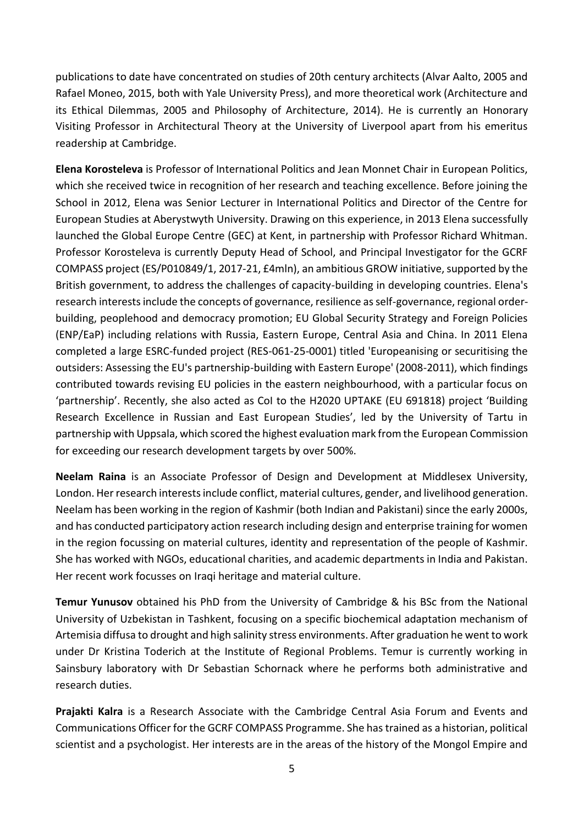publications to date have concentrated on studies of 20th century architects (Alvar Aalto, 2005 and Rafael Moneo, 2015, both with Yale University Press), and more theoretical work (Architecture and its Ethical Dilemmas, 2005 and Philosophy of Architecture, 2014). He is currently an Honorary Visiting Professor in Architectural Theory at the University of Liverpool apart from his emeritus readership at Cambridge.

**Elena Korosteleva** is Professor of International Politics and Jean Monnet Chair in European Politics, which she received twice in recognition of her research and teaching excellence. Before joining the School in 2012, Elena was Senior Lecturer in International Politics and Director of the Centre for European Studies at Aberystwyth University. Drawing on this experience, in 2013 Elena successfully launched the Global Europe Centre (GEC) at Kent, in partnership with Professor Richard Whitman. Professor Korosteleva is currently Deputy Head of School, and Principal Investigator for the GCRF COMPASS project (ES/P010849/1, 2017-21, £4mln), an ambitious GROW initiative, supported by the British government, to address the challenges of capacity-building in developing countries. Elena's research interests include the concepts of governance, resilience as self-governance, regional orderbuilding, peoplehood and democracy promotion; EU Global Security Strategy and Foreign Policies (ENP/EaP) including relations with Russia, Eastern Europe, Central Asia and China. In 2011 Elena completed a large ESRC-funded project (RES-061-25-0001) titled 'Europeanising or securitising the outsiders: Assessing the EU's partnership-building with Eastern Europe' (2008-2011), which findings contributed towards revising EU policies in the eastern neighbourhood, with a particular focus on 'partnership'. Recently, she also acted as CoI to the H2020 UPTAKE (EU 691818) project 'Building Research Excellence in Russian and East European Studies', led by the University of Tartu in partnership with Uppsala, which scored the highest evaluation mark from the European Commission for exceeding our research development targets by over 500%.

**Neelam Raina** is an Associate Professor of Design and Development at Middlesex University, London. Her research interests include conflict, material cultures, gender, and livelihood generation. Neelam has been working in the region of Kashmir (both Indian and Pakistani) since the early 2000s, and has conducted participatory action research including design and enterprise training for women in the region focussing on material cultures, identity and representation of the people of Kashmir. She has worked with NGOs, educational charities, and academic departments in India and Pakistan. Her recent work focusses on Iraqi heritage and material culture.

**Temur Yunusov** obtained his PhD from the University of Cambridge & his BSc from the National University of Uzbekistan in Tashkent, focusing on a specific biochemical adaptation mechanism of Artemisia diffusa to drought and high salinity stress environments. After graduation he went to work under Dr Kristina Toderich at the Institute of Regional Problems. Temur is currently working in Sainsbury laboratory with Dr Sebastian Schornack where he performs both administrative and research duties.

**Prajakti Kalra** is a Research Associate with the Cambridge Central Asia Forum and Events and Communications Officer for the GCRF COMPASS Programme. She has trained as a historian, political scientist and a psychologist. Her interests are in the areas of the history of the Mongol Empire and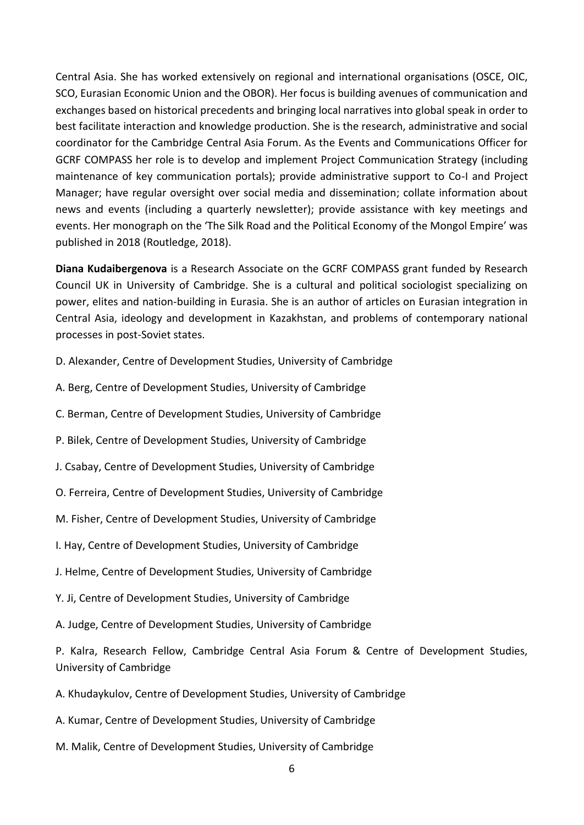Central Asia. She has worked extensively on regional and international organisations (OSCE, OIC, SCO, Eurasian Economic Union and the OBOR). Her focus is building avenues of communication and exchanges based on historical precedents and bringing local narratives into global speak in order to best facilitate interaction and knowledge production. She is the research, administrative and social coordinator for the Cambridge Central Asia Forum. As the Events and Communications Officer for GCRF COMPASS her role is to develop and implement Project Communication Strategy (including maintenance of key communication portals); provide administrative support to Co-I and Project Manager; have regular oversight over social media and dissemination; collate information about news and events (including a quarterly newsletter); provide assistance with key meetings and events. Her monograph on the 'The Silk Road and the Political Economy of the Mongol Empire' was published in 2018 (Routledge, 2018).

**Diana Kudaibergenova** is a Research Associate on the GCRF COMPASS grant funded by Research Council UK in University of Cambridge. She is a cultural and political sociologist specializing on power, elites and nation-building in Eurasia. She is an author of articles on Eurasian integration in Central Asia, ideology and development in Kazakhstan, and problems of contemporary national processes in post-Soviet states.

- D. Alexander, Centre of Development Studies, University of Cambridge
- A. Berg, Centre of Development Studies, University of Cambridge
- C. Berman, Centre of Development Studies, University of Cambridge
- P. Bilek, Centre of Development Studies, University of Cambridge
- J. Csabay, Centre of Development Studies, University of Cambridge
- O. Ferreira, Centre of Development Studies, University of Cambridge
- M. Fisher, Centre of Development Studies, University of Cambridge
- I. Hay, Centre of Development Studies, University of Cambridge
- J. Helme, Centre of Development Studies, University of Cambridge
- Y. Ji, Centre of Development Studies, University of Cambridge
- A. Judge, Centre of Development Studies, University of Cambridge

P. Kalra, Research Fellow, Cambridge Central Asia Forum & Centre of Development Studies, University of Cambridge

- A. Khudaykulov, Centre of Development Studies, University of Cambridge
- A. Kumar, Centre of Development Studies, University of Cambridge
- M. Malik, Centre of Development Studies, University of Cambridge